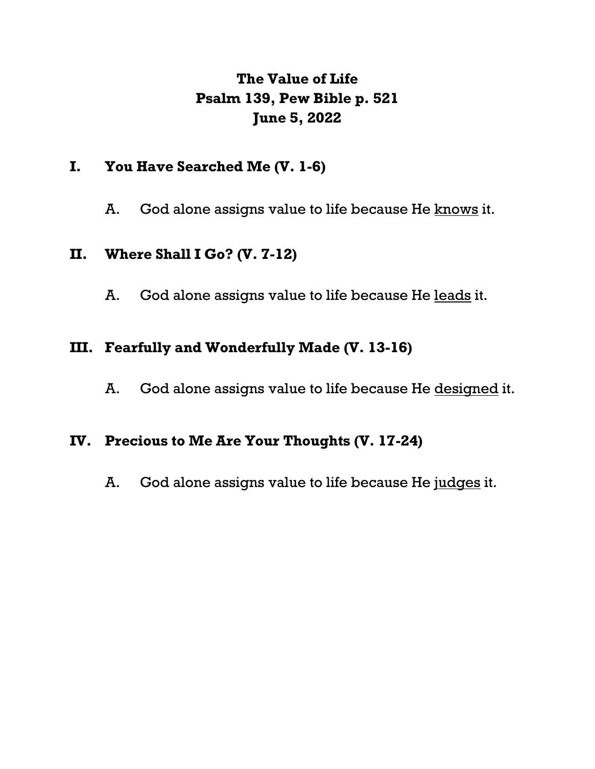# **The Value of Life Psalm 139, Pew Bible p. 521 June 5, 2022**

## **I. You Have Searched Me (V. 1-6)**

A. God alone assigns value to life because He knows it.

### **II. Where Shall I Go? (V. 7-12)**

A. God alone assigns value to life because He leads it.

# **III. Fearfully and Wonderfully Made (V. 13-16)**

A. God alone assigns value to life because He designed it.

### **IV. Precious to Me Are Your Thoughts (V. 17-24)**

A. God alone assigns value to life because He judges it.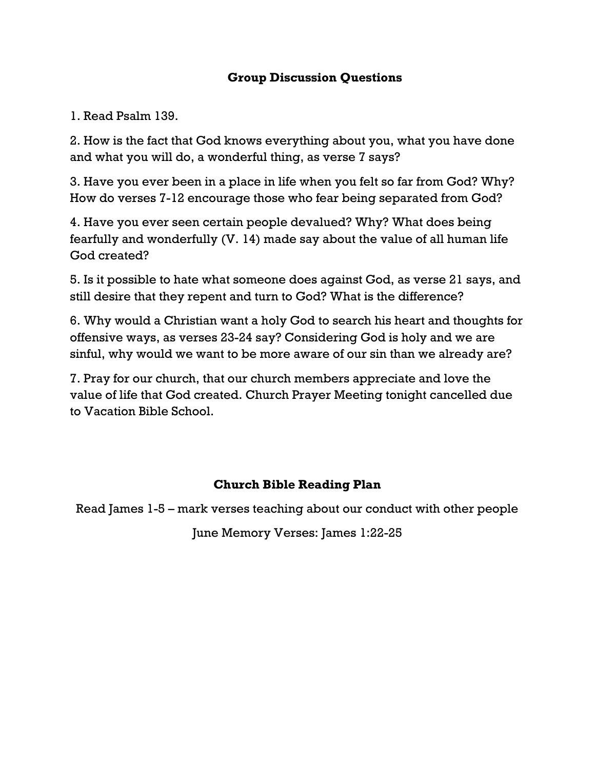#### **Group Discussion Questions**

1. Read Psalm 139.

2. How is the fact that God knows everything about you, what you have done and what you will do, a wonderful thing, as verse 7 says?

3. Have you ever been in a place in life when you felt so far from God? Why? How do verses 7-12 encourage those who fear being separated from God?

4. Have you ever seen certain people devalued? Why? What does being fearfully and wonderfully (V. 14) made say about the value of all human life God created?

5. Is it possible to hate what someone does against God, as verse 21 says, and still desire that they repent and turn to God? What is the difference?

6. Why would a Christian want a holy God to search his heart and thoughts for offensive ways, as verses 23-24 say? Considering God is holy and we are sinful, why would we want to be more aware of our sin than we already are?

7. Pray for our church, that our church members appreciate and love the value of life that God created. Church Prayer Meeting tonight cancelled due to Vacation Bible School.

### **Church Bible Reading Plan**

Read James 1-5 – mark verses teaching about our conduct with other people

June Memory Verses: James 1:22-25